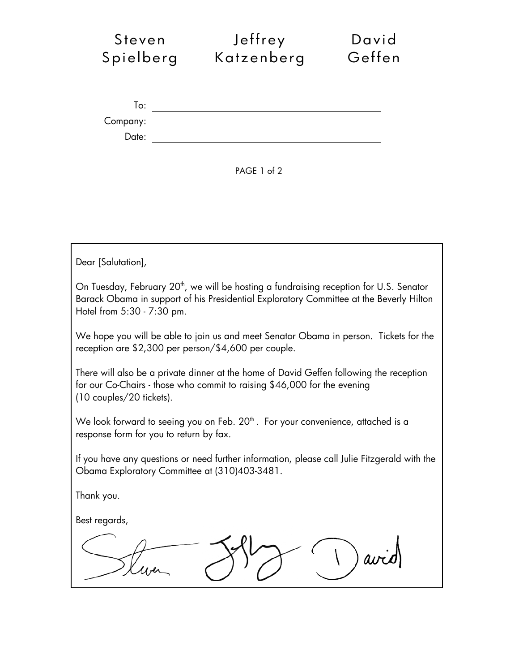| Steven    | Jeffrey    | David  |
|-----------|------------|--------|
| Spielberg | Katzenberg | Geffen |
|           |            |        |
|           |            |        |
| To:       |            |        |
| Company:  |            |        |
| Date:     |            |        |
|           |            |        |



Dear [Salutation], On Tuesday, February 20<sup>th</sup>, we will be hosting a fundraising reception for U.S. Senator Barack Obama in support of his Presidential Exploratory Committee at the Beverly Hilton Hotel from 5:30 - 7:30 pm. We hope you will be able to join us and meet Senator Obama in person. Tickets for the reception are \$2,300 per person/\$4,600 per couple. There will also be a private dinner at the home of David Geffen following the reception for our Co-Chairs - those who commit to raising \$46,000 for the evening (10 couples/20 tickets). We look forward to seeing you on Feb.  $20<sup>th</sup>$ . For your convenience, attached is a response form for you to return by fax. If you have any questions or need further information, please call Julie Fitzgerald with the Obama Exploratory Committee at (310)403-3481. Thank you. Best regards,